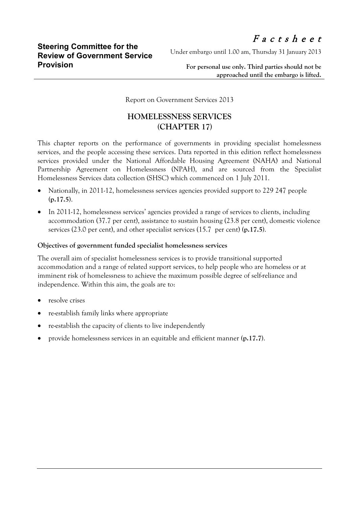Under embargo until 1.00 am, Thursday 31 January 2013

**For personal use only. Third parties should not be approached until the embargo is lifted.**

Report on Government Services 2013

## **HOMELESSNESS SERVICES (CHAPTER 17)**

This chapter reports on the performance of governments in providing specialist homelessness services, and the people accessing these services. Data reported in this edition reflect homelessness services provided under the National Affordable Housing Agreement (NAHA) and National Partnership Agreement on Homelessness (NPAH), and are sourced from the Specialist Homelessness Services data collection (SHSC) which commenced on 1 July 2011.

- Nationally, in 2011-12, homelessness services agencies provided support to 229 247 people **(p.17.5)**.
- In 2011-12, homelessness services' agencies provided a range of services to clients, including accommodation (37.7 per cent), assistance to sustain housing (23.8 per cent), domestic violence services (23.0 per cent), and other specialist services (15.7 per cent) **(p.17.5)**.

## **Objectives of government funded specialist homelessness services**

The overall aim of specialist homelessness services is to provide transitional supported accommodation and a range of related support services, to help people who are homeless or at imminent risk of homelessness to achieve the maximum possible degree of self-reliance and independence. Within this aim, the goals are to:

- resolve crises
- re-establish family links where appropriate
- re-establish the capacity of clients to live independently
- provide homelessness services in an equitable and efficient manner **(p.17.7)**.